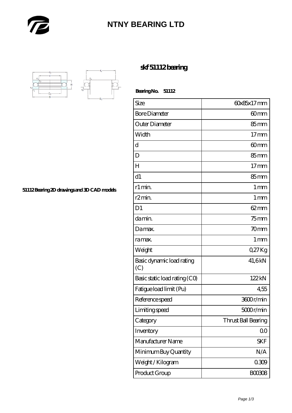

## **[NTNY BEARING LTD](https://m.abetteryeartoabetterlife.com)**



**[51112 Bearing 2D drawings and 3D CAD models](https://m.abetteryeartoabetterlife.com/pic-413812.html)**

## **[skf 51112 bearing](https://m.abetteryeartoabetterlife.com/skf-bearing/skf-51112/)**

 **Bearing No. 51112**

| Size                             | 60x85x17mm          |
|----------------------------------|---------------------|
| <b>Bore Diameter</b>             | 60mm                |
| Outer Diameter                   | $85 \text{mm}$      |
| Width                            | $17$ mm             |
| d                                | 60mm                |
| D                                | 85mm                |
| $H_{\rm}$                        | $17$ mm             |
| d1                               | $85 \text{mm}$      |
| r1 min.                          | $1 \,\mathrm{mm}$   |
| r <sub>2</sub> min.              | $1 \,\mathrm{mm}$   |
| D <sub>1</sub>                   | $62 \text{mm}$      |
| da min.                          | $75$ mm             |
| Damax.                           | 70mm                |
| ra max.                          | $1 \,\mathrm{mm}$   |
| Weight                           | Q27Kg               |
| Basic dynamic load rating<br>(C) | 41,6kN              |
| Basic static load rating (CO)    | 122kN               |
| Fatigue load limit (Pu)          | 455                 |
| Reference speed                  | 3600r/min           |
| Limiting speed                   | 5000r/min           |
| Category                         | Thrust Ball Bearing |
| Inventory                        | 0 <sub>0</sub>      |
| Manufacturer Name                | SKF                 |
| Minimum Buy Quantity             | N/A                 |
| Weight/Kilogram                  | 0309                |
| Product Group                    | <b>BOO3O8</b>       |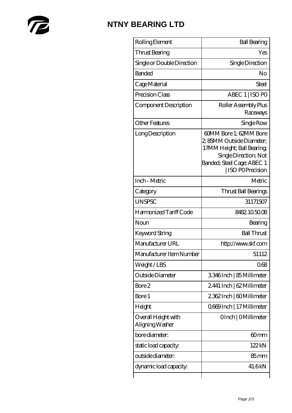

## **[NTNY BEARING LTD](https://m.abetteryeartoabetterlife.com)**

| Rolling Element                        | <b>Ball Bearing</b>                                                                                                                                         |
|----------------------------------------|-------------------------------------------------------------------------------------------------------------------------------------------------------------|
| Thrust Bearing                         | Yes                                                                                                                                                         |
| Single or Double Direction             | Single Direction                                                                                                                                            |
| <b>Banded</b>                          | No                                                                                                                                                          |
| Cage Material                          | Steel                                                                                                                                                       |
| Precision Class                        | ABEC 1   ISO PO                                                                                                                                             |
| Component Description                  | Roller Assembly Plus<br>Raceways                                                                                                                            |
| <b>Other Features</b>                  | Single Row                                                                                                                                                  |
| Long Description                       | 60MM Bore 1; 62MM Bore<br>2, 85MM Outside Diameter;<br>17MM Height; Ball Bearing;<br>Single Direction; Not<br>Banded; Steel Cage; ABEC 1<br>ISO POPrecision |
| Inch - Metric                          | Metric                                                                                                                                                      |
| Category                               | Thrust Ball Bearings                                                                                                                                        |
| <b>UNSPSC</b>                          | 31171507                                                                                                                                                    |
| Harmonized Tariff Code                 | 8482.105008                                                                                                                                                 |
| Noun                                   | Bearing                                                                                                                                                     |
| Keyword String                         | <b>Ball Thrust</b>                                                                                                                                          |
| Manufacturer URL                       | http://www.skf.com                                                                                                                                          |
| Manufacturer Item Number               | 51112                                                                                                                                                       |
| Weight/LBS                             | 068                                                                                                                                                         |
| Outside Diameter                       | 3346Inch   85 Millimeter                                                                                                                                    |
| Bore 2                                 | 2441 Inch   62 Millimeter                                                                                                                                   |
| Bore 1                                 | 2362Inch   60Millimeter                                                                                                                                     |
| Height                                 | Q669Inch   17 Millimeter                                                                                                                                    |
| Overall Height with<br>Aligning Washer | OInch   OMillimeter                                                                                                                                         |
| bore diameter:                         | 60mm                                                                                                                                                        |
| static load capacity.                  | 122kN                                                                                                                                                       |
| outside diameter:                      | $85 \text{mm}$                                                                                                                                              |
| dynamic load capacity:                 | 41.6kN                                                                                                                                                      |